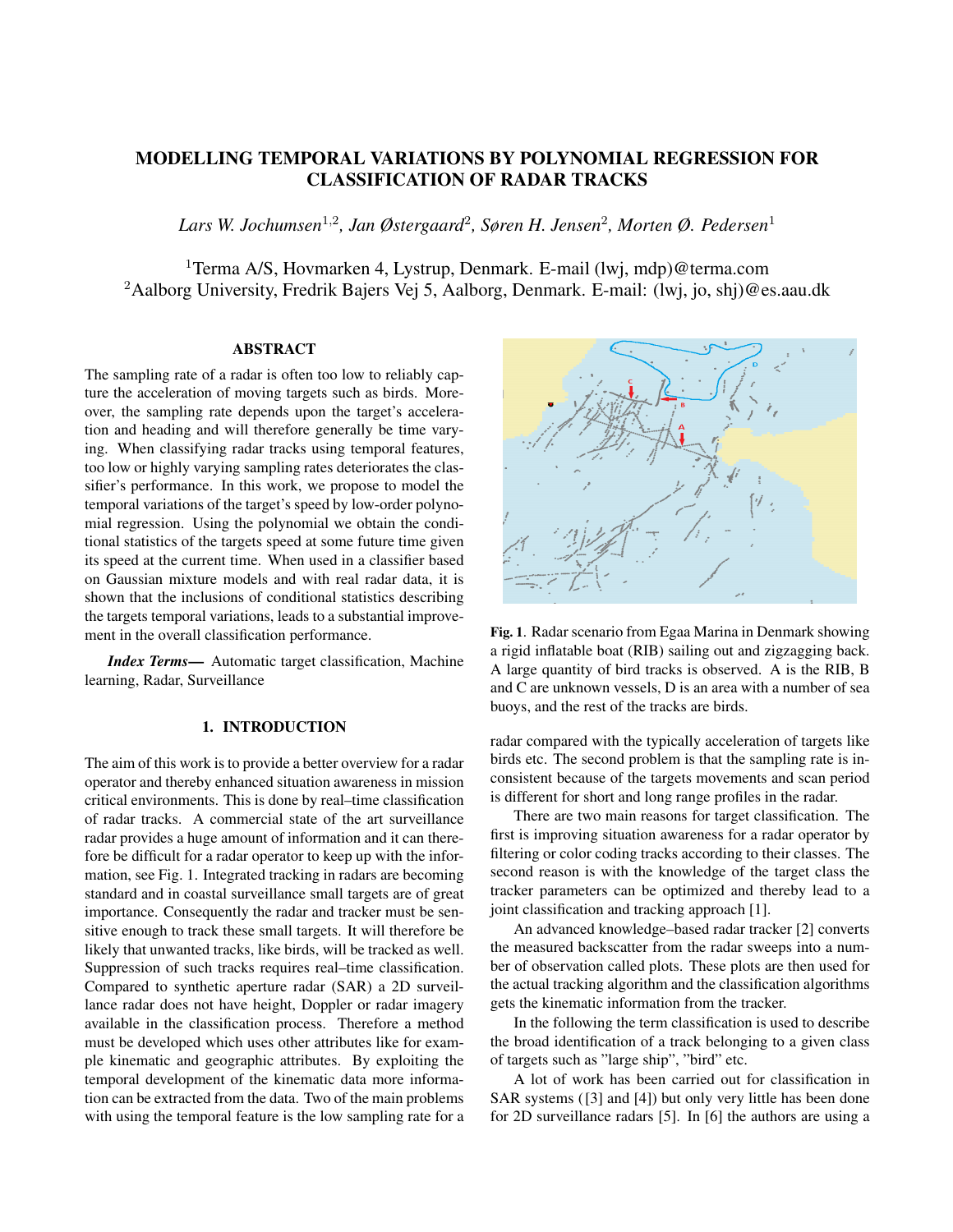# MODELLING TEMPORAL VARIATIONS BY POLYNOMIAL REGRESSION FOR CLASSIFICATION OF RADAR TRACKS

*Lars W. Jochumsen*<sup>1</sup>,<sup>2</sup> *, Jan Østergaard*<sup>2</sup> *, Søren H. Jensen*<sup>2</sup> *, Morten Ø. Pedersen*<sup>1</sup>

<sup>1</sup>Terma A/S, Hovmarken 4, Lystrup, Denmark. E-mail (lwj, mdp)@terma.com <sup>2</sup>Aalborg University, Fredrik Bajers Vej 5, Aalborg, Denmark. E-mail: (lwj, jo, shj)@es.aau.dk

### ABSTRACT

The sampling rate of a radar is often too low to reliably capture the acceleration of moving targets such as birds. Moreover, the sampling rate depends upon the target's acceleration and heading and will therefore generally be time varying. When classifying radar tracks using temporal features, too low or highly varying sampling rates deteriorates the classifier's performance. In this work, we propose to model the temporal variations of the target's speed by low-order polynomial regression. Using the polynomial we obtain the conditional statistics of the targets speed at some future time given its speed at the current time. When used in a classifier based on Gaussian mixture models and with real radar data, it is shown that the inclusions of conditional statistics describing the targets temporal variations, leads to a substantial improvement in the overall classification performance.

*Index Terms*— Automatic target classification, Machine learning, Radar, Surveillance

## 1. INTRODUCTION

The aim of this work is to provide a better overview for a radar operator and thereby enhanced situation awareness in mission critical environments. This is done by real–time classification of radar tracks. A commercial state of the art surveillance radar provides a huge amount of information and it can therefore be difficult for a radar operator to keep up with the information, see Fig. 1. Integrated tracking in radars are becoming standard and in coastal surveillance small targets are of great importance. Consequently the radar and tracker must be sensitive enough to track these small targets. It will therefore be likely that unwanted tracks, like birds, will be tracked as well. Suppression of such tracks requires real–time classification. Compared to synthetic aperture radar (SAR) a 2D surveillance radar does not have height, Doppler or radar imagery available in the classification process. Therefore a method must be developed which uses other attributes like for example kinematic and geographic attributes. By exploiting the temporal development of the kinematic data more information can be extracted from the data. Two of the main problems with using the temporal feature is the low sampling rate for a



Fig. 1. Radar scenario from Egaa Marina in Denmark showing a rigid inflatable boat (RIB) sailing out and zigzagging back. A large quantity of bird tracks is observed. A is the RIB, B and C are unknown vessels, D is an area with a number of sea buoys, and the rest of the tracks are birds.

radar compared with the typically acceleration of targets like birds etc. The second problem is that the sampling rate is inconsistent because of the targets movements and scan period is different for short and long range profiles in the radar.

There are two main reasons for target classification. The first is improving situation awareness for a radar operator by filtering or color coding tracks according to their classes. The second reason is with the knowledge of the target class the tracker parameters can be optimized and thereby lead to a joint classification and tracking approach [1].

An advanced knowledge–based radar tracker [2] converts the measured backscatter from the radar sweeps into a number of observation called plots. These plots are then used for the actual tracking algorithm and the classification algorithms gets the kinematic information from the tracker.

In the following the term classification is used to describe the broad identification of a track belonging to a given class of targets such as "large ship", "bird" etc.

A lot of work has been carried out for classification in SAR systems ([3] and [4]) but only very little has been done for 2D surveillance radars [5]. In [6] the authors are using a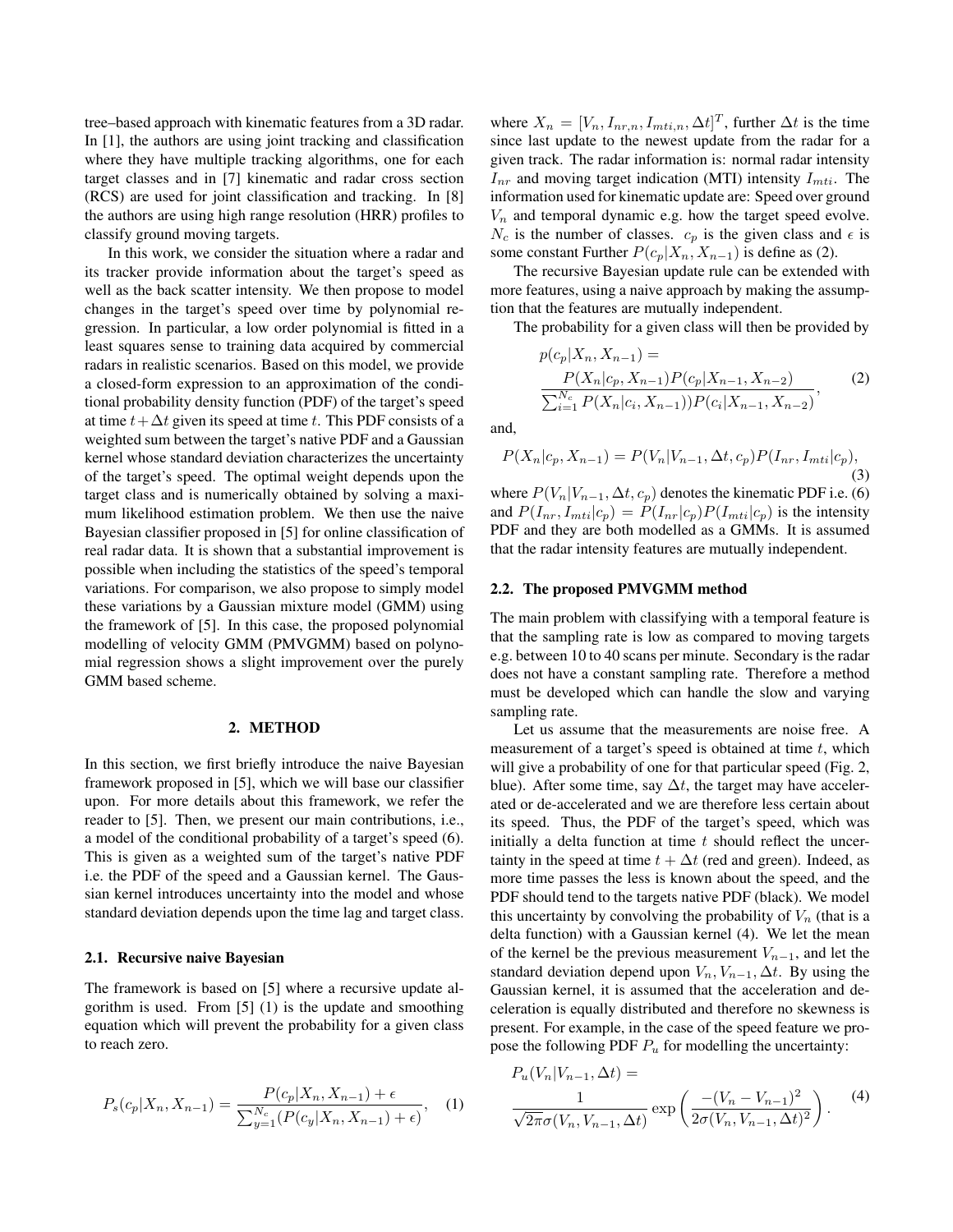tree–based approach with kinematic features from a 3D radar. In [1], the authors are using joint tracking and classification where they have multiple tracking algorithms, one for each target classes and in [7] kinematic and radar cross section (RCS) are used for joint classification and tracking. In [8] the authors are using high range resolution (HRR) profiles to classify ground moving targets.

In this work, we consider the situation where a radar and its tracker provide information about the target's speed as well as the back scatter intensity. We then propose to model changes in the target's speed over time by polynomial regression. In particular, a low order polynomial is fitted in a least squares sense to training data acquired by commercial radars in realistic scenarios. Based on this model, we provide a closed-form expression to an approximation of the conditional probability density function (PDF) of the target's speed at time  $t + \Delta t$  given its speed at time t. This PDF consists of a weighted sum between the target's native PDF and a Gaussian kernel whose standard deviation characterizes the uncertainty of the target's speed. The optimal weight depends upon the target class and is numerically obtained by solving a maximum likelihood estimation problem. We then use the naive Bayesian classifier proposed in [5] for online classification of real radar data. It is shown that a substantial improvement is possible when including the statistics of the speed's temporal variations. For comparison, we also propose to simply model these variations by a Gaussian mixture model (GMM) using the framework of [5]. In this case, the proposed polynomial modelling of velocity GMM (PMVGMM) based on polynomial regression shows a slight improvement over the purely GMM based scheme.

## 2. METHOD

In this section, we first briefly introduce the naive Bayesian framework proposed in [5], which we will base our classifier upon. For more details about this framework, we refer the reader to [5]. Then, we present our main contributions, i.e., a model of the conditional probability of a target's speed (6). This is given as a weighted sum of the target's native PDF i.e. the PDF of the speed and a Gaussian kernel. The Gaussian kernel introduces uncertainty into the model and whose standard deviation depends upon the time lag and target class.

## 2.1. Recursive naive Bayesian

The framework is based on [5] where a recursive update algorithm is used. From [5] (1) is the update and smoothing equation which will prevent the probability for a given class to reach zero.

$$
P_s(c_p|X_n, X_{n-1}) = \frac{P(c_p|X_n, X_{n-1}) + \epsilon}{\sum_{y=1}^{N_c} (P(c_y|X_n, X_{n-1}) + \epsilon)}, \quad (1)
$$

where  $X_n = [V_n, I_{nr,n}, I_{mti,n}, \Delta t]^T$ , further  $\Delta t$  is the time since last update to the newest update from the radar for a given track. The radar information is: normal radar intensity  $I_{nr}$  and moving target indication (MTI) intensity  $I_{mti}$ . The information used for kinematic update are: Speed over ground  $V_n$  and temporal dynamic e.g. how the target speed evolve.  $N_c$  is the number of classes.  $c_p$  is the given class and  $\epsilon$  is some constant Further  $P(c_p|X_n, X_{n-1})$  is define as (2).

The recursive Bayesian update rule can be extended with more features, using a naive approach by making the assumption that the features are mutually independent.

The probability for a given class will then be provided by

$$
p(c_p|X_n, X_{n-1}) =
$$
  
\n
$$
\frac{P(X_n|c_p, X_{n-1})P(c_p|X_{n-1}, X_{n-2})}{\sum_{i=1}^{N_c} P(X_n|c_i, X_{n-1}))P(c_i|X_{n-1}, X_{n-2})},
$$
\n(2)

and,

$$
P(X_n|c_p, X_{n-1}) = P(V_n|V_{n-1}, \Delta t, c_p) P(I_{nr}, I_{mti}|c_p),
$$
\n(3)

where  $P(V_n|V_{n-1}, \Delta t, c_p)$  denotes the kinematic PDF i.e. (6) and  $P(I_{nr}, I_{mti}|c_p) = P(I_{nr}|c_p)P(I_{mti}|c_p)$  is the intensity PDF and they are both modelled as a GMMs. It is assumed that the radar intensity features are mutually independent.

### 2.2. The proposed PMVGMM method

The main problem with classifying with a temporal feature is that the sampling rate is low as compared to moving targets e.g. between 10 to 40 scans per minute. Secondary is the radar does not have a constant sampling rate. Therefore a method must be developed which can handle the slow and varying sampling rate.

Let us assume that the measurements are noise free. A measurement of a target's speed is obtained at time  $t$ , which will give a probability of one for that particular speed (Fig. 2, blue). After some time, say  $\Delta t$ , the target may have accelerated or de-accelerated and we are therefore less certain about its speed. Thus, the PDF of the target's speed, which was initially a delta function at time  $t$  should reflect the uncertainty in the speed at time  $t + \Delta t$  (red and green). Indeed, as more time passes the less is known about the speed, and the PDF should tend to the targets native PDF (black). We model this uncertainty by convolving the probability of  $V_n$  (that is a delta function) with a Gaussian kernel (4). We let the mean of the kernel be the previous measurement  $V_{n-1}$ , and let the standard deviation depend upon  $V_n$ ,  $V_{n-1}$ ,  $\Delta t$ . By using the Gaussian kernel, it is assumed that the acceleration and deceleration is equally distributed and therefore no skewness is present. For example, in the case of the speed feature we propose the following PDF  $P_u$  for modelling the uncertainty:

$$
P_u(V_n|V_{n-1}, \Delta t) =
$$
  

$$
\frac{1}{\sqrt{2\pi}\sigma(V_n, V_{n-1}, \Delta t)} \exp\left(\frac{-(V_n - V_{n-1})^2}{2\sigma(V_n, V_{n-1}, \Delta t)^2}\right).
$$
 (4)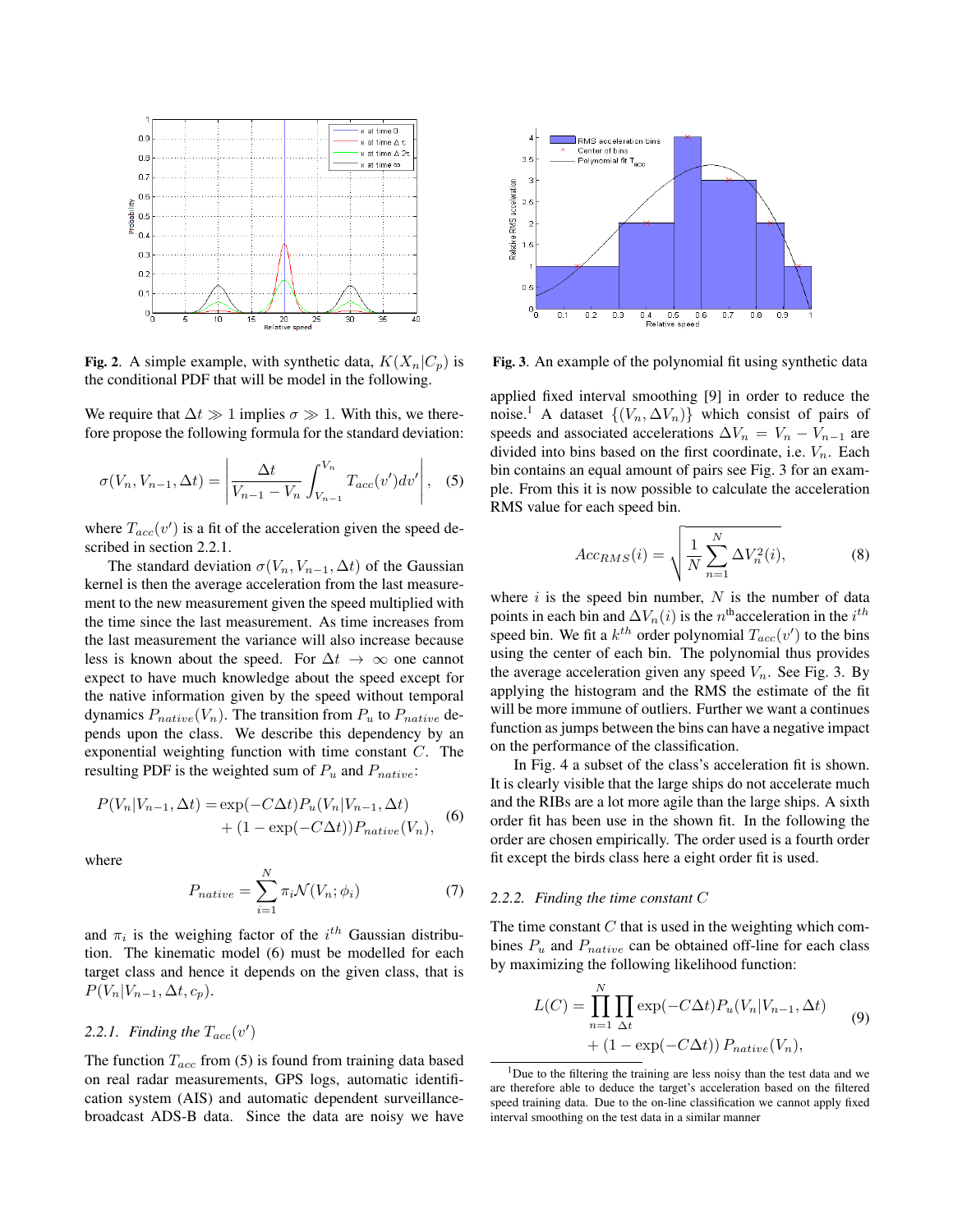

Fig. 2. A simple example, with synthetic data,  $K(X_n|C_n)$  is the conditional PDF that will be model in the following.

We require that  $\Delta t \gg 1$  implies  $\sigma \gg 1$ . With this, we therefore propose the following formula for the standard deviation:

$$
\sigma(V_n, V_{n-1}, \Delta t) = \left| \frac{\Delta t}{V_{n-1} - V_n} \int_{V_{n-1}}^{V_n} T_{acc}(v') dv' \right|, \quad (5)
$$

where  $T_{acc}(v')$  is a fit of the acceleration given the speed described in section 2.2.1.

The standard deviation  $\sigma(V_n, V_{n-1}, \Delta t)$  of the Gaussian kernel is then the average acceleration from the last measurement to the new measurement given the speed multiplied with the time since the last measurement. As time increases from the last measurement the variance will also increase because less is known about the speed. For  $\Delta t \rightarrow \infty$  one cannot expect to have much knowledge about the speed except for the native information given by the speed without temporal dynamics  $P_{native}(V_n)$ . The transition from  $P_u$  to  $P_{native}$  depends upon the class. We describe this dependency by an exponential weighting function with time constant C. The resulting PDF is the weighted sum of  $P_u$  and  $P_{native}$ :

$$
P(V_n|V_{n-1}, \Delta t) = \exp(-C\Delta t)P_u(V_n|V_{n-1}, \Delta t)
$$
  
 
$$
+ (1 - \exp(-C\Delta t))P_{native}(V_n),
$$
 (6)

where

$$
P_{native} = \sum_{i=1}^{N} \pi_i \mathcal{N}(V_n; \phi_i)
$$
\n(7)

and  $\pi_i$  is the weighing factor of the  $i^{th}$  Gaussian distribution. The kinematic model (6) must be modelled for each target class and hence it depends on the given class, that is  $P(V_n|V_{n-1}, \Delta t, c_p).$ 

## 2.2.1. Finding the  $T_{acc}(v')$

The function  $T_{acc}$  from (5) is found from training data based on real radar measurements, GPS logs, automatic identification system (AIS) and automatic dependent surveillancebroadcast ADS-B data. Since the data are noisy we have



Fig. 3. An example of the polynomial fit using synthetic data

applied fixed interval smoothing [9] in order to reduce the noise.<sup>1</sup> A dataset  $\{(V_n, \Delta V_n)\}\$  which consist of pairs of speeds and associated accelerations  $\Delta V_n = V_n - V_{n-1}$  are divided into bins based on the first coordinate, i.e.  $V_n$ . Each bin contains an equal amount of pairs see Fig. 3 for an example. From this it is now possible to calculate the acceleration RMS value for each speed bin.

$$
Acc_{RMS}(i) = \sqrt{\frac{1}{N} \sum_{n=1}^{N} \Delta V_n^2(i)},
$$
 (8)

where  $i$  is the speed bin number,  $N$  is the number of data points in each bin and  $\Delta V_n(i)$  is the n<sup>th</sup>acceleration in the  $i^{th}$ speed bin. We fit a  $k^{th}$  order polynomial  $T_{acc}(v')$  to the bins using the center of each bin. The polynomial thus provides the average acceleration given any speed  $V_n$ . See Fig. 3. By applying the histogram and the RMS the estimate of the fit will be more immune of outliers. Further we want a continues function as jumps between the bins can have a negative impact on the performance of the classification.

In Fig. 4 a subset of the class's acceleration fit is shown. It is clearly visible that the large ships do not accelerate much and the RIBs are a lot more agile than the large ships. A sixth order fit has been use in the shown fit. In the following the order are chosen empirically. The order used is a fourth order fit except the birds class here a eight order fit is used.

## *2.2.2. Finding the time constant* C

The time constant  $C$  that is used in the weighting which combines  $P_u$  and  $P_{native}$  can be obtained off-line for each class by maximizing the following likelihood function:

$$
L(C) = \prod_{n=1}^{N} \prod_{\Delta t} \exp(-C\Delta t) P_u(V_n | V_{n-1}, \Delta t)
$$
  
+ 
$$
(1 - \exp(-C\Delta t)) P_{native}(V_n),
$$
 (9)

<sup>&</sup>lt;sup>1</sup>Due to the filtering the training are less noisy than the test data and we are therefore able to deduce the target's acceleration based on the filtered speed training data. Due to the on-line classification we cannot apply fixed interval smoothing on the test data in a similar manner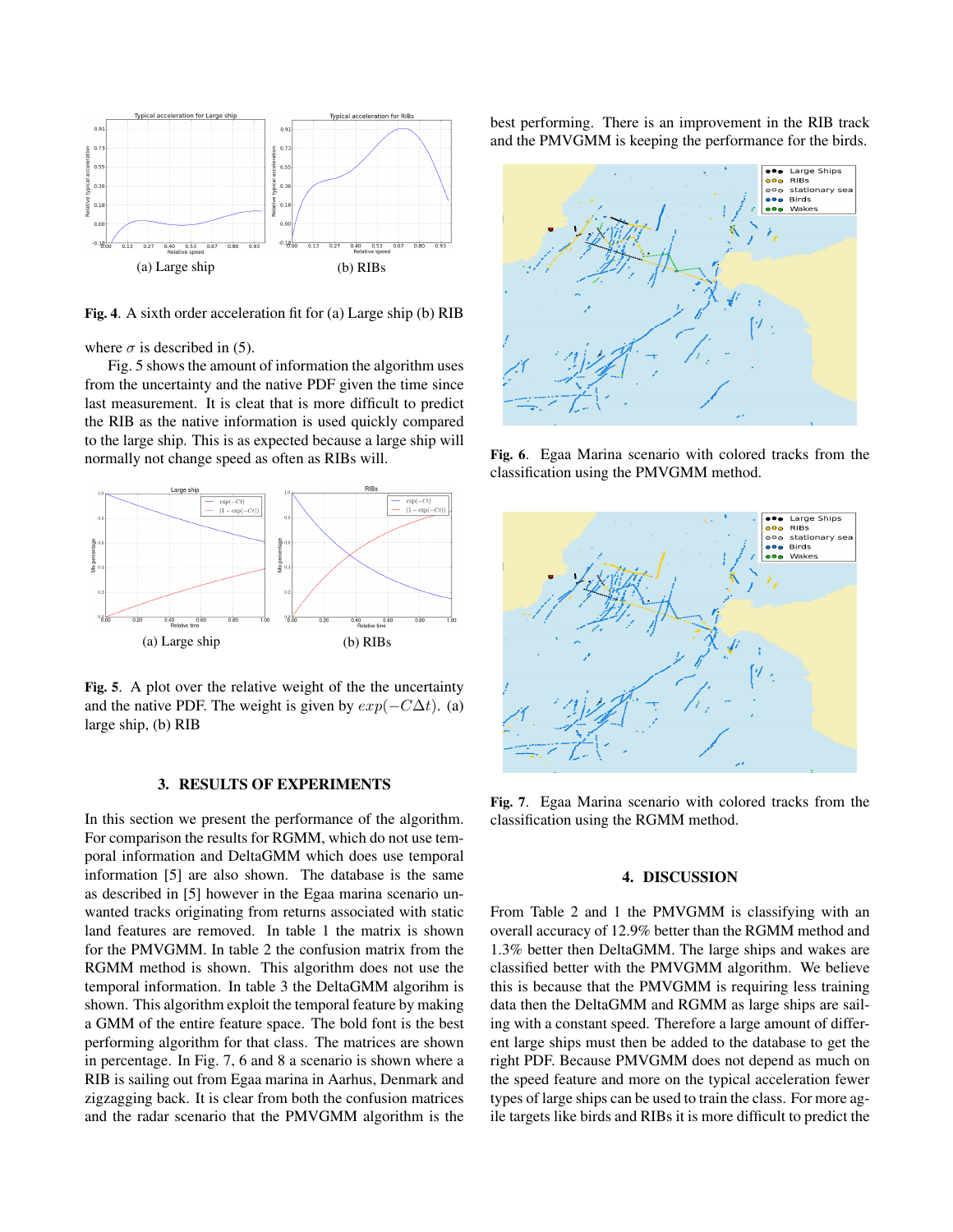

Fig. 4. A sixth order acceleration fit for (a) Large ship (b) RIB

where  $\sigma$  is described in (5).

Fig. 5 shows the amount of information the algorithm uses from the uncertainty and the native PDF given the time since last measurement. It is cleat that is more difficult to predict the RIB as the native information is used quickly compared to the large ship. This is as expected because a large ship will normally not change speed as often as RIBs will.



Fig. 5. A plot over the relative weight of the the uncertainty and the native PDF. The weight is given by  $exp(-C\Delta t)$ . (a) large ship, (b) RIB

### 3. RESULTS OF EXPERIMENTS

In this section we present the performance of the algorithm. For comparison the results for RGMM, which do not use temporal information and DeltaGMM which does use temporal information [5] are also shown. The database is the same as described in [5] however in the Egaa marina scenario unwanted tracks originating from returns associated with static land features are removed. In table 1 the matrix is shown for the PMVGMM. In table 2 the confusion matrix from the RGMM method is shown. This algorithm does not use the temporal information. In table 3 the DeltaGMM algorihm is shown. This algorithm exploit the temporal feature by making a GMM of the entire feature space. The bold font is the best performing algorithm for that class. The matrices are shown in percentage. In Fig. 7, 6 and 8 a scenario is shown where a RIB is sailing out from Egaa marina in Aarhus, Denmark and zigzagging back. It is clear from both the confusion matrices and the radar scenario that the PMVGMM algorithm is the best performing. There is an improvement in the RIB track and the PMVGMM is keeping the performance for the birds.



Fig. 6. Egaa Marina scenario with colored tracks from the classification using the PMVGMM method.



Fig. 7. Egaa Marina scenario with colored tracks from the classification using the RGMM method.

## 4. DISCUSSION

From Table 2 and 1 the PMVGMM is classifying with an overall accuracy of 12.9% better than the RGMM method and 1.3% better then DeltaGMM. The large ships and wakes are classified better with the PMVGMM algorithm. We believe this is because that the PMVGMM is requiring less training data then the DeltaGMM and RGMM as large ships are sailing with a constant speed. Therefore a large amount of different large ships must then be added to the database to get the right PDF. Because PMVGMM does not depend as much on the speed feature and more on the typical acceleration fewer types of large ships can be used to train the class. For more agile targets like birds and RIBs it is more difficult to predict the